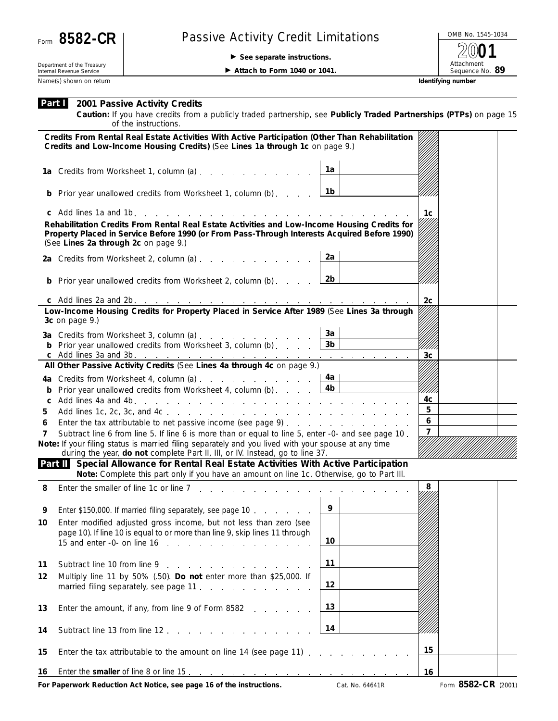

## Form 8582-CR | Passive Activity Credit Limitations

**See separate instructions.**

OMB No. 1545-1034 Attachment<br>Sequence No. 89 **2001**

Department of the Treasury Internal Revenue Service Name(s) shown on return **Identifying number** and the state of the state of the state of the state of the state of the state of the state of the state of the state of the state of the state of the state of the state of the

**Attach to Form 1040 or 1041.** 

|  | Part 2001 Passive Activity Credits |
|--|------------------------------------|
|--|------------------------------------|

**Caution:** *If you have credits from a publicly traded partnership, see Publicly Traded Partnerships (PTPs) on page 15 of the instructions.*

|        | Credits From Rental Real Estate Activities With Active Participation (Other Than Rehabilitation<br>Credits and Low-Income Housing Credits) (See Lines 1a through 1c on page 9.)      |                        |                |                     |  |
|--------|--------------------------------------------------------------------------------------------------------------------------------------------------------------------------------------|------------------------|----------------|---------------------|--|
|        | 1a Credits from Worksheet 1, column (a)                                                                                                                                              | 1a                     |                |                     |  |
|        | <b>b</b> Prior year unallowed credits from Worksheet 1, column (b)                                                                                                                   | 1b                     |                |                     |  |
|        |                                                                                                                                                                                      |                        | 1c             |                     |  |
|        | Rehabilitation Credits From Rental Real Estate Activities and Low-Income Housing Credits for                                                                                         |                        |                |                     |  |
|        | Property Placed in Service Before 1990 (or From Pass-Through Interests Acquired Before 1990)<br>(See Lines 2a through 2c on page 9.)                                                 |                        |                |                     |  |
|        | 2a Credits from Worksheet 2, column (a) $\ldots$ $\ldots$ $\ldots$ $\ldots$                                                                                                          | 2a                     |                |                     |  |
|        | <b>b</b> Prior year unallowed credits from Worksheet 2, column (b)                                                                                                                   | 2b                     |                |                     |  |
|        |                                                                                                                                                                                      |                        | 2 <sub>c</sub> |                     |  |
|        | Low-Income Housing Credits for Property Placed in Service After 1989 (See Lines 3a through<br>3c on page 9.)                                                                         |                        |                |                     |  |
|        | 3a Credits from Worksheet 3, column (a)                                                                                                                                              | 3a                     |                |                     |  |
|        | <b>b</b> Prior year unallowed credits from Worksheet 3, column (b) $\qquad \qquad$                                                                                                   | 3 <sub>b</sub>         |                |                     |  |
|        |                                                                                                                                                                                      |                        | 3c             |                     |  |
|        | All Other Passive Activity Credits (See Lines 4a through 4c on page 9.)                                                                                                              |                        |                |                     |  |
|        |                                                                                                                                                                                      | 4a l<br>4 <sub>b</sub> |                |                     |  |
| b<br>C | Prior year unallowed credits from Worksheet 4, column (b)                                                                                                                            |                        | /////<br>4c    |                     |  |
| 5      |                                                                                                                                                                                      | 5                      |                |                     |  |
| 6      | Enter the tax attributable to net passive income (see page 9)                                                                                                                        | 6                      |                |                     |  |
| 7      | Subtract line 6 from line 5. If line 6 is more than or equal to line 5, enter -0- and see page 10.                                                                                   | $\overline{7}$         |                |                     |  |
|        | Note: If your filing status is married filing separately and you lived with your spouse at any time<br>during the year, do not complete Part II, III, or IV. Instead, go to line 37. |                        |                |                     |  |
|        | Part II Special Allowance for Rental Real Estate Activities With Active Participation<br>Note: Complete this part only if you have an amount on line 1c. Otherwise, go to Part III.  |                        |                |                     |  |
| 8      | Enter the smaller of line 1c or line 7 and 1c is a control of the smaller of line 1c or line 7 and 1c is a control of the smaller                                                    |                        | 8              |                     |  |
|        |                                                                                                                                                                                      | 9                      |                |                     |  |
| 9      | Enter \$150,000. If married filing separately, see page 10                                                                                                                           |                        |                |                     |  |
| 10     | Enter modified adjusted gross income, but not less than zero (see<br>page 10). If line 10 is equal to or more than line 9, skip lines 11 through                                     |                        |                |                     |  |
|        | 15 and enter -0- on line $16$                                                                                                                                                        | 10                     |                |                     |  |
|        |                                                                                                                                                                                      |                        |                |                     |  |
| 11     | Subtract line 10 from line 9                                                                                                                                                         | 11                     |                |                     |  |
| 12     | Multiply line 11 by 50% (.50). Do not enter more than \$25,000. If                                                                                                                   |                        |                |                     |  |
|        | married filing separately, see page 11.                                                                                                                                              | 12                     |                |                     |  |
| 13     | Enter the amount, if any, from line 9 of Form 8582                                                                                                                                   | 13                     |                |                     |  |
| 14     | Subtract line 13 from line 12.                                                                                                                                                       | 14                     |                |                     |  |
| 15     | Enter the tax attributable to the amount on line 14 (see page 11)                                                                                                                    |                        | 15             |                     |  |
| 16     |                                                                                                                                                                                      |                        | 16             |                     |  |
|        | For Paperwork Reduction Act Notice, see page 16 of the instructions.                                                                                                                 | Cat. No. 64641R        |                | Form 8582-CR (2001) |  |